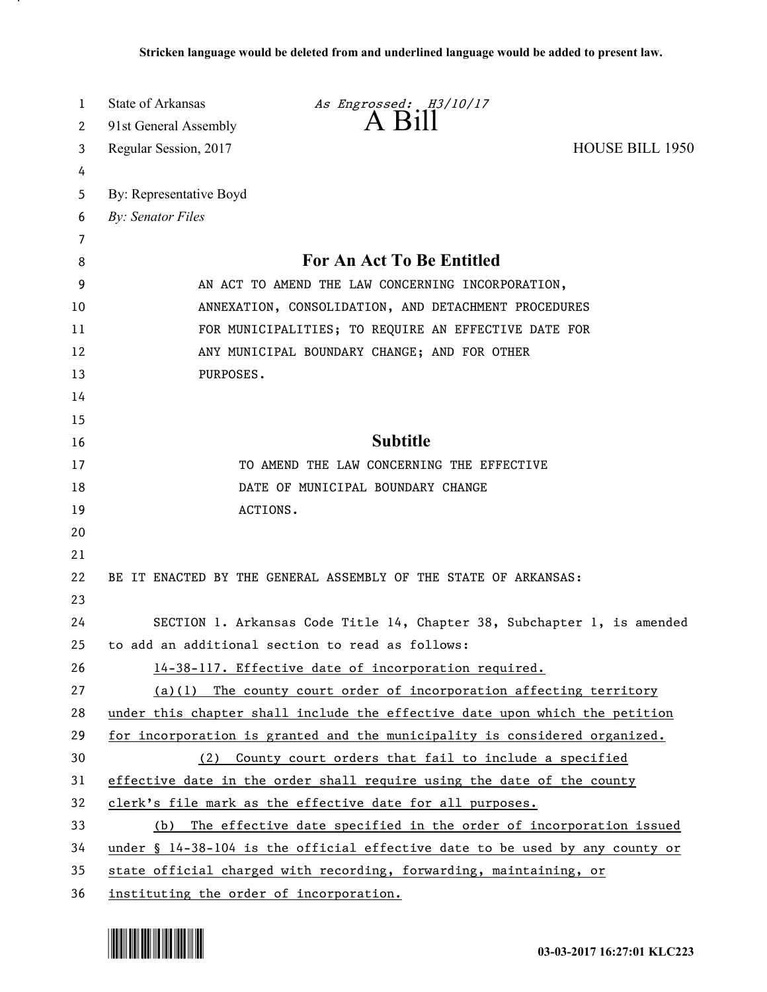| 1              | State of Arkansas                       | As Engrossed: H3/10/17                                                                   |                        |
|----------------|-----------------------------------------|------------------------------------------------------------------------------------------|------------------------|
| 2              | 91st General Assembly                   | $A$ $B$ <sub>1</sub> $\parallel$                                                         |                        |
| 3              | Regular Session, 2017                   |                                                                                          | <b>HOUSE BILL 1950</b> |
| 4              |                                         |                                                                                          |                        |
| 5              | By: Representative Boyd                 |                                                                                          |                        |
| 6              | <b>By: Senator Files</b>                |                                                                                          |                        |
| $\overline{7}$ |                                         |                                                                                          |                        |
| 8              |                                         | <b>For An Act To Be Entitled</b>                                                         |                        |
| 9              |                                         | AN ACT TO AMEND THE LAW CONCERNING INCORPORATION,                                        |                        |
| 10             |                                         | ANNEXATION, CONSOLIDATION, AND DETACHMENT PROCEDURES                                     |                        |
| 11             |                                         | FOR MUNICIPALITIES; TO REQUIRE AN EFFECTIVE DATE FOR                                     |                        |
| 12             |                                         | ANY MUNICIPAL BOUNDARY CHANGE; AND FOR OTHER                                             |                        |
| 13             | PURPOSES.                               |                                                                                          |                        |
| 14             |                                         |                                                                                          |                        |
| 15             |                                         |                                                                                          |                        |
| 16             |                                         | <b>Subtitle</b>                                                                          |                        |
| 17             |                                         | TO AMEND THE LAW CONCERNING THE EFFECTIVE                                                |                        |
| 18             |                                         | DATE OF MUNICIPAL BOUNDARY CHANGE                                                        |                        |
| 19             |                                         | ACTIONS.                                                                                 |                        |
| 20             |                                         |                                                                                          |                        |
| 21             |                                         |                                                                                          |                        |
| 22             |                                         | BE IT ENACTED BY THE GENERAL ASSEMBLY OF THE STATE OF ARKANSAS:                          |                        |
| 23             |                                         |                                                                                          |                        |
| 24             |                                         | SECTION 1. Arkansas Code Title 14, Chapter 38, Subchapter 1, is amended                  |                        |
| 25             |                                         | to add an additional section to read as follows:                                         |                        |
| 26             |                                         | 14-38-117. Effective date of incorporation required.                                     |                        |
| 27             |                                         | $(a)(1)$ The county court order of incorporation affecting territory                     |                        |
| 28             |                                         | under this chapter shall include the effective date upon which the petition              |                        |
| 29             |                                         | for incorporation is granted and the municipality is considered organized.               |                        |
| 30             | (2)                                     | County court orders that fail to include a specified                                     |                        |
| 31             |                                         | effective date in the order shall require using the date of the county                   |                        |
| 32             |                                         | clerk's file mark as the effective date for all purposes.                                |                        |
| 33             |                                         | (b) The effective date specified in the order of incorporation issued                    |                        |
| 34             |                                         | under $\frac{6}{3}$ 14-38-104 is the official effective date to be used by any county or |                        |
| 35             |                                         | state official charged with recording, forwarding, maintaining, or                       |                        |
| 36             | instituting the order of incorporation. |                                                                                          |                        |



.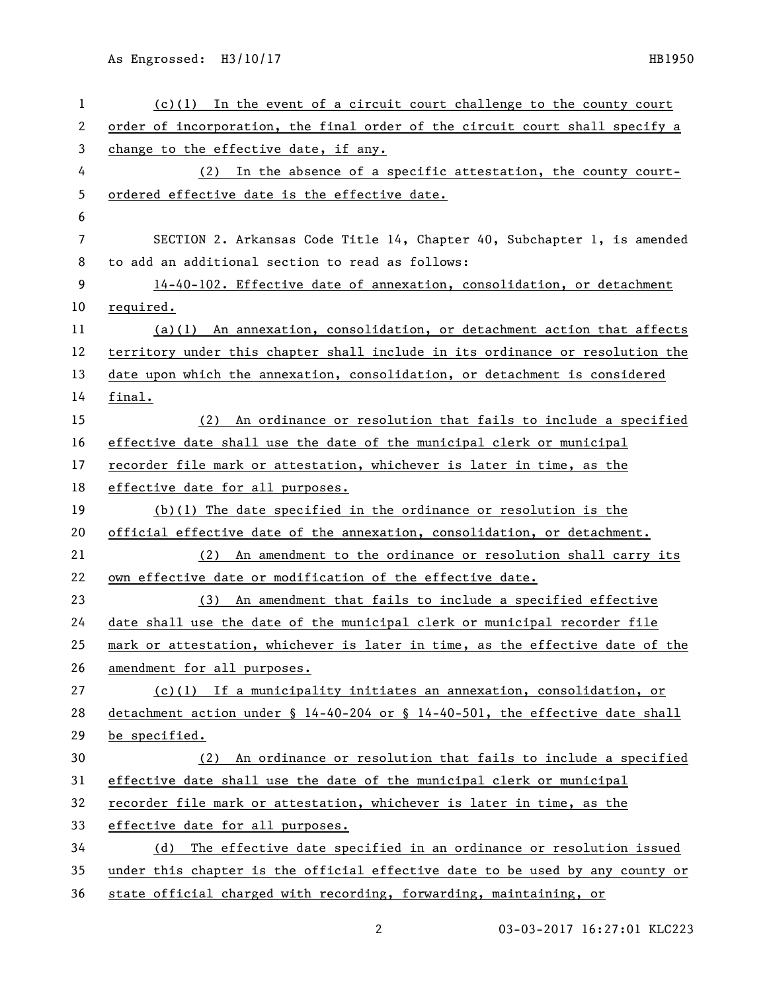As Engrossed: H3/10/17 HB1950

| $\mathbf 1$ | $(c)(1)$ In the event of a circuit court challenge to the county court        |
|-------------|-------------------------------------------------------------------------------|
| 2           | order of incorporation, the final order of the circuit court shall specify a  |
| 3           | change to the effective date, if any.                                         |
| 4           | In the absence of a specific attestation, the county court-<br>(2)            |
| 5           | ordered effective date is the effective date.                                 |
| 6           |                                                                               |
| 7           | SECTION 2. Arkansas Code Title 14, Chapter 40, Subchapter 1, is amended       |
| 8           | to add an additional section to read as follows:                              |
| 9           | 14-40-102. Effective date of annexation, consolidation, or detachment         |
| 10          | required.                                                                     |
| 11          | $(a)(1)$ An annexation, consolidation, or detachment action that affects      |
| 12          | territory under this chapter shall include in its ordinance or resolution the |
| 13          | date upon which the annexation, consolidation, or detachment is considered    |
| 14          | final.                                                                        |
| 15          | (2) An ordinance or resolution that fails to include a specified              |
| 16          | effective date shall use the date of the municipal clerk or municipal         |
| 17          | recorder file mark or attestation, whichever is later in time, as the         |
| 18          | effective date for all purposes.                                              |
| 19          | $(b)(1)$ The date specified in the ordinance or resolution is the             |
| 20          | official effective date of the annexation, consolidation, or detachment.      |
| 21          | (2) An amendment to the ordinance or resolution shall carry its               |
| 22          | own effective date or modification of the effective date.                     |
| 23          | (3) An amendment that fails to include a specified effective                  |
| 24          | date shall use the date of the municipal clerk or municipal recorder file     |
| 25          | mark or attestation, whichever is later in time, as the effective date of the |
| 26          | amendment for all purposes.                                                   |
| 27          | $(c)(1)$ If a municipality initiates an annexation, consolidation, or         |
| 28          | detachment action under § 14-40-204 or § 14-40-501, the effective date shall  |
| 29          | be specified.                                                                 |
| 30          | (2) An ordinance or resolution that fails to include a specified              |
| 31          | effective date shall use the date of the municipal clerk or municipal         |
| 32          | recorder file mark or attestation, whichever is later in time, as the         |
| 33          | effective date for all purposes.                                              |
| 34          | (d) The effective date specified in an ordinance or resolution issued         |
| 35          | under this chapter is the official effective date to be used by any county or |
| 36          | state official charged with recording, forwarding, maintaining, or            |

2 03-03-2017 16:27:01 KLC223